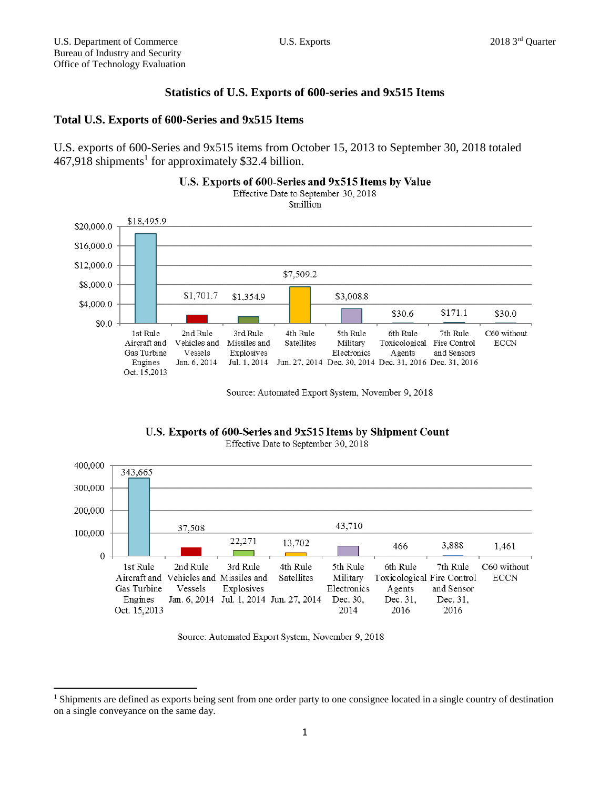$\overline{a}$ 

## **Statistics of U.S. Exports of 600-series and 9x515 Items**

## **Total U.S. Exports of 600-Series and 9x515 Items**

U.S. exports of 600-Series and 9x515 items from October 15, 2013 to September 30, 2018 totaled 467,918 shipments 1 for approximately \$32.4 billion.



Source: Automated Export System, November 9, 2018

U.S. Exports of 600-Series and 9x515 Items by Shipment Count



Effective Date to September 30, 2018

Source: Automated Export System, November 9, 2018

<sup>&</sup>lt;sup>1</sup> Shipments are defined as exports being sent from one order party to one consignee located in a single country of destination on a single conveyance on the same day.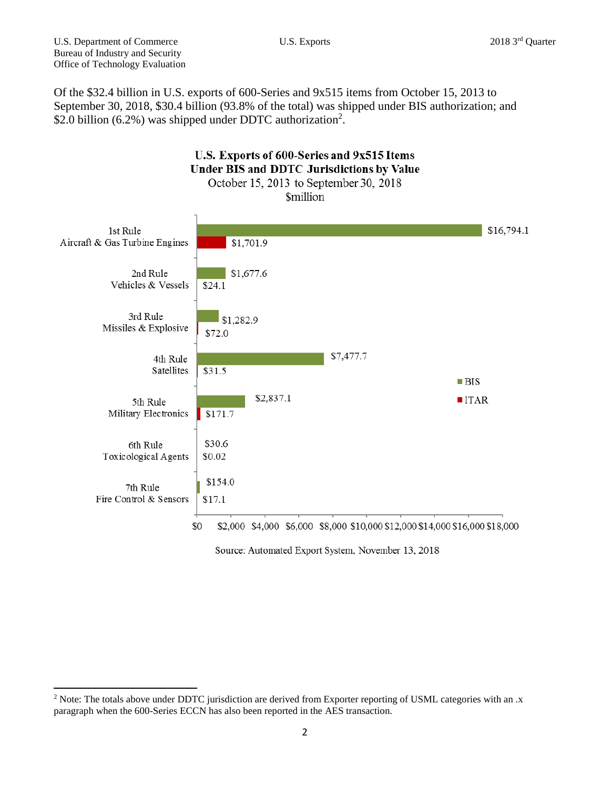$\overline{a}$ 

Of the \$32.4 billion in U.S. exports of 600-Series and 9x515 items from October 15, 2013 to September 30, 2018, \$30.4 billion (93.8% of the total) was shipped under BIS authorization; and \$2.0 billion (6.2%) was shipped under DDTC authorization<sup>2</sup>.



Source: Automated Export System, November 13, 2018

<sup>&</sup>lt;sup>2</sup> Note: The totals above under DDTC jurisdiction are derived from Exporter reporting of USML categories with an .x paragraph when the 600-Series ECCN has also been reported in the AES transaction.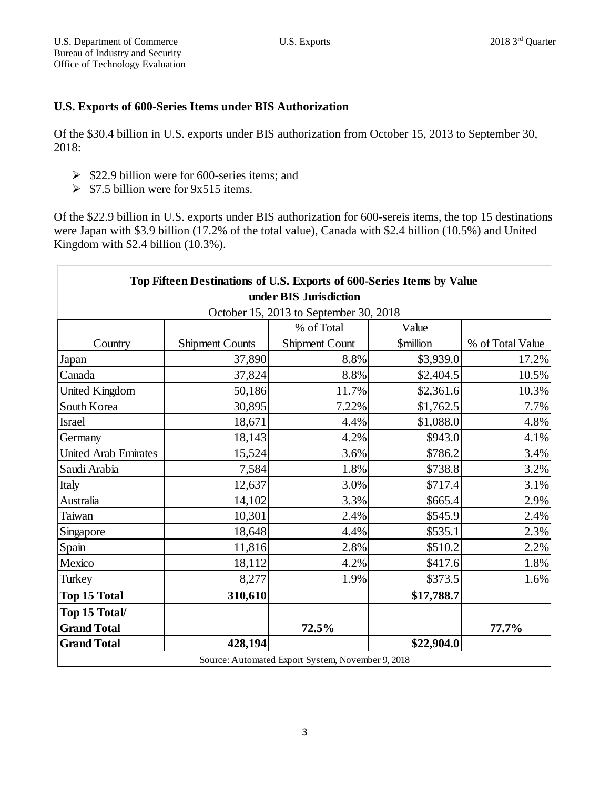## **U.S. Exports of 600-Series Items under BIS Authorization**

Of the \$30.4 billion in U.S. exports under BIS authorization from October 15, 2013 to September 30, 2018:

- $\geq$  \$22.9 billion were for 600-series items; and
- $\triangleright$  \$7.5 billion were for 9x515 items.

Of the \$22.9 billion in U.S. exports under BIS authorization for 600-sereis items, the top 15 destinations were Japan with \$3.9 billion (17.2% of the total value), Canada with \$2.4 billion (10.5%) and United Kingdom with \$2.4 billion (10.3%).

| Top Fifteen Destinations of U.S. Exports of 600-Series Items by Value |                        |                                                   |                               |                  |  |
|-----------------------------------------------------------------------|------------------------|---------------------------------------------------|-------------------------------|------------------|--|
| under BIS Jurisdiction                                                |                        |                                                   |                               |                  |  |
| October 15, 2013 to September 30, 2018                                |                        |                                                   |                               |                  |  |
|                                                                       |                        | % of Total                                        | Value                         |                  |  |
| Country                                                               | <b>Shipment Counts</b> | Shipment Count                                    | <b><i><u>Smillion</u></i></b> | % of Total Value |  |
| Japan                                                                 | 37,890                 | 8.8%                                              | \$3,939.0                     | 17.2%            |  |
| Canada                                                                | 37,824                 | 8.8%                                              | \$2,404.5                     | 10.5%            |  |
| United Kingdom                                                        | 50,186                 | 11.7%                                             | \$2,361.6                     | 10.3%            |  |
| South Korea                                                           | 30,895                 | 7.22%                                             | \$1,762.5                     | 7.7%             |  |
| Israel                                                                | 18,671                 | 4.4%                                              | \$1,088.0                     | 4.8%             |  |
| Germany                                                               | 18,143                 | 4.2%                                              | \$943.0                       | 4.1%             |  |
| <b>United Arab Emirates</b>                                           | 15,524                 | 3.6%                                              | \$786.2                       | 3.4%             |  |
| Saudi Arabia                                                          | 7,584                  | 1.8%                                              | \$738.8                       | 3.2%             |  |
| Italy                                                                 | 12,637                 | 3.0%                                              | \$717.4                       | 3.1%             |  |
| Australia                                                             | 14,102                 | 3.3%                                              | \$665.4                       | 2.9%             |  |
| Taiwan                                                                | 10,301                 | 2.4%                                              | \$545.9                       | 2.4%             |  |
| Singapore                                                             | 18,648                 | 4.4%                                              | \$535.1                       | 2.3%             |  |
| Spain                                                                 | 11,816                 | 2.8%                                              | \$510.2                       | 2.2%             |  |
| Mexico                                                                | 18,112                 | 4.2%                                              | \$417.6                       | 1.8%             |  |
| Turkey                                                                | 8,277                  | 1.9%                                              | \$373.5                       | 1.6%             |  |
| <b>Top 15 Total</b>                                                   | 310,610                |                                                   | \$17,788.7                    |                  |  |
| Top 15 Total/                                                         |                        |                                                   |                               |                  |  |
| <b>Grand Total</b>                                                    |                        | 72.5%                                             |                               | 77.7%            |  |
| <b>Grand Total</b>                                                    | 428,194                |                                                   | \$22,904.0                    |                  |  |
|                                                                       |                        | Source: Automated Export System, November 9, 2018 |                               |                  |  |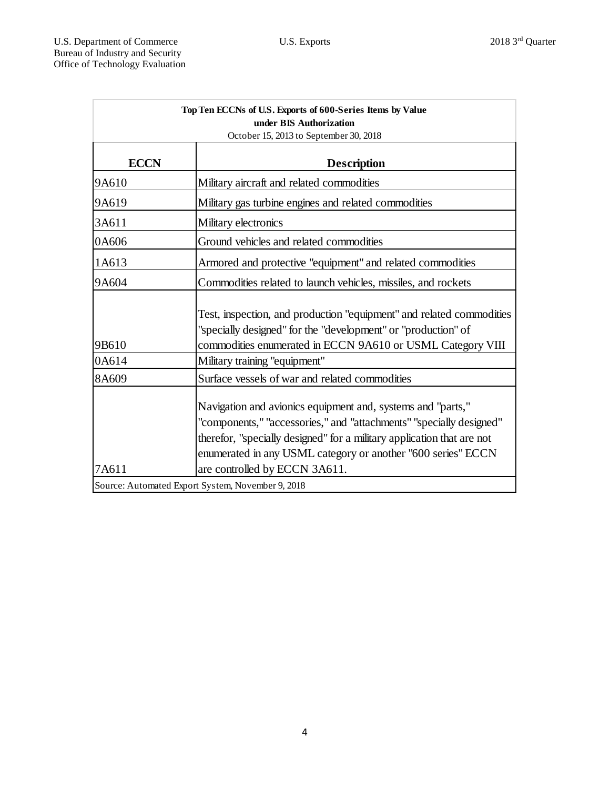| Top Ten ECCNs of U.S. Exports of 600-Series Items by Value<br>under BIS Authorization<br>October 15, 2013 to September 30, 2018 |                                                                                                                                                                                                                                                                                                               |  |  |
|---------------------------------------------------------------------------------------------------------------------------------|---------------------------------------------------------------------------------------------------------------------------------------------------------------------------------------------------------------------------------------------------------------------------------------------------------------|--|--|
| <b>ECCN</b>                                                                                                                     | <b>Description</b>                                                                                                                                                                                                                                                                                            |  |  |
| 9A610                                                                                                                           | Military aircraft and related commodities                                                                                                                                                                                                                                                                     |  |  |
| 9A619                                                                                                                           | Military gas turbine engines and related commodities                                                                                                                                                                                                                                                          |  |  |
| 3A611                                                                                                                           | Military electronics                                                                                                                                                                                                                                                                                          |  |  |
| 0A606                                                                                                                           | Ground vehicles and related commodities                                                                                                                                                                                                                                                                       |  |  |
| 1A613                                                                                                                           | Armored and protective "equipment" and related commodities                                                                                                                                                                                                                                                    |  |  |
| 9A604                                                                                                                           | Commodities related to launch vehicles, missiles, and rockets                                                                                                                                                                                                                                                 |  |  |
| 9B610                                                                                                                           | Test, inspection, and production "equipment" and related commodities<br>"specially designed" for the "development" or "production" of<br>commodities enumerated in ECCN 9A610 or USML Category VIII                                                                                                           |  |  |
| 0A614                                                                                                                           | Military training "equipment"                                                                                                                                                                                                                                                                                 |  |  |
| 8A609                                                                                                                           | Surface vessels of war and related commodities                                                                                                                                                                                                                                                                |  |  |
| 7A611                                                                                                                           | Navigation and avionics equipment and, systems and "parts,"<br>"components," "accessories," and "attachments" "specially designed"<br>therefor, "specially designed" for a military application that are not<br>enumerated in any USML category or another "600 series" ECCN<br>are controlled by ECCN 3A611. |  |  |
|                                                                                                                                 | Source: Automated Export System, November 9, 2018                                                                                                                                                                                                                                                             |  |  |